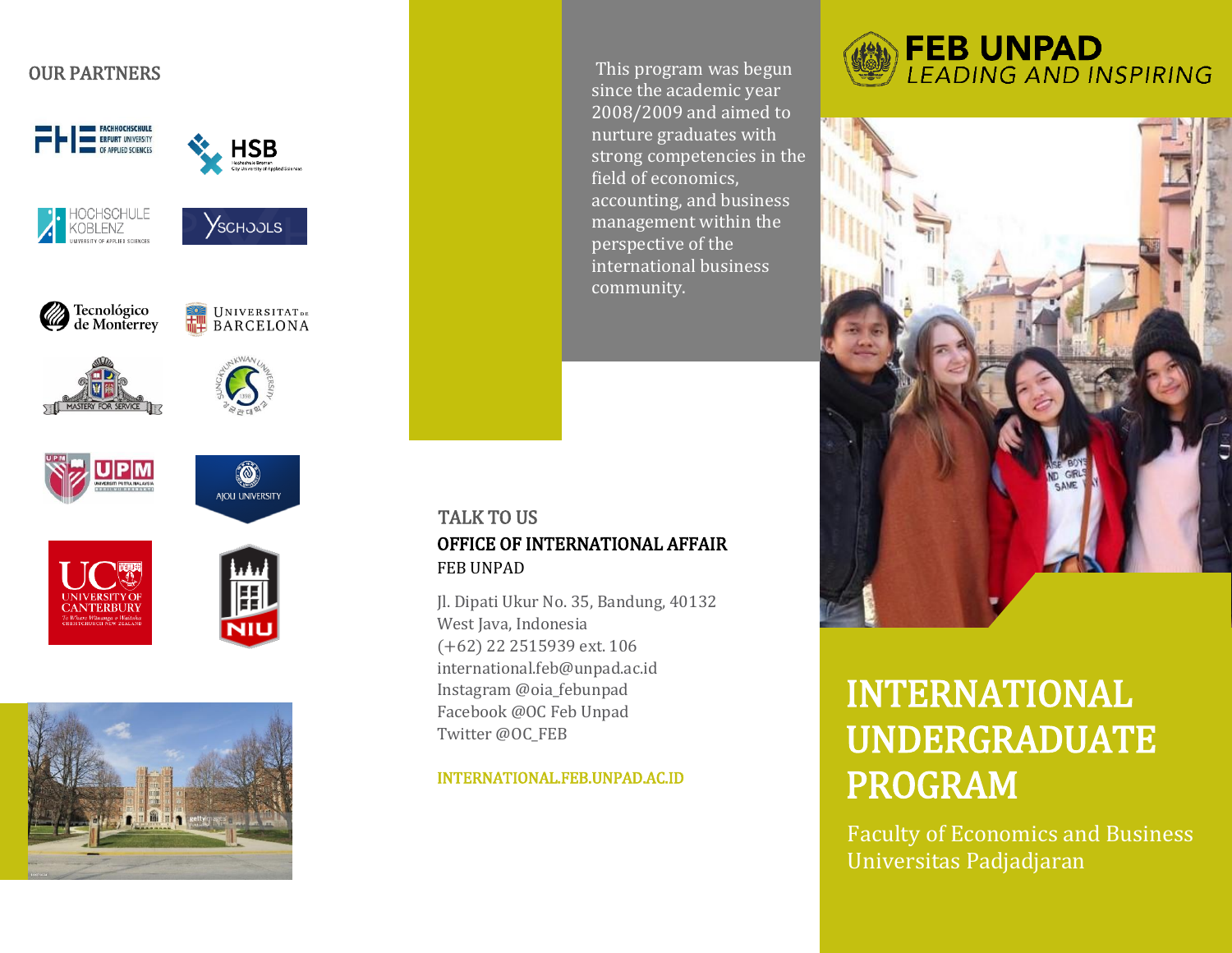# OUR PARTNERS



This program was begun since the academic year 2008/2009 and aimed to nurture graduates with strong competencies in the field of economics, accounting, and business management within the perspective of the international business community.

## OFFICE OF INTERNATIONAL AFFAIR FEB UNPAD TALK TO US

Jl. Dipati Ukur No. 35, Bandung, 40132 West Java, Indonesia (+62) 22 2515939 ext. 106 international.feb@unpad.ac.id Instagram @oia\_febunpad Facebook @OC Feb Unpad Twitter @OC\_FEB

#### INTERNATIONAL.FEB.UNPAD.AC.ID





# INTERNATIONAL UNDERGRADUATE PROGRAM

Faculty of Economics and Business Universitas Padjadjaran